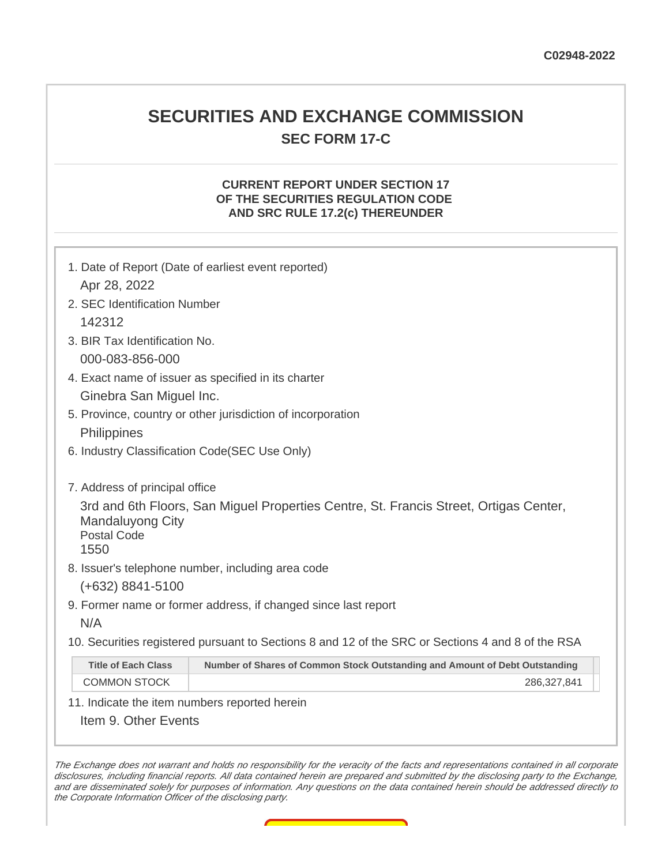### **SECURITIES AND EXCHANGE COMMISSION SEC FORM 17-C**

#### **CURRENT REPORT UNDER SECTION 17 OF THE SECURITIES REGULATION CODE AND SRC RULE 17.2(c) THEREUNDER**

|                                                     | 1. Date of Report (Date of earliest event reported)                                               |  |
|-----------------------------------------------------|---------------------------------------------------------------------------------------------------|--|
| Apr 28, 2022                                        |                                                                                                   |  |
| 2. SEC Identification Number                        |                                                                                                   |  |
| 142312                                              |                                                                                                   |  |
| 3. BIR Tax Identification No.                       |                                                                                                   |  |
| 000-083-856-000                                     |                                                                                                   |  |
| 4. Exact name of issuer as specified in its charter |                                                                                                   |  |
| Ginebra San Miguel Inc.                             |                                                                                                   |  |
|                                                     | 5. Province, country or other jurisdiction of incorporation                                       |  |
| Philippines                                         |                                                                                                   |  |
| 6. Industry Classification Code(SEC Use Only)       |                                                                                                   |  |
|                                                     |                                                                                                   |  |
| 7. Address of principal office                      |                                                                                                   |  |
|                                                     | 3rd and 6th Floors, San Miguel Properties Centre, St. Francis Street, Ortigas Center,             |  |
| <b>Mandaluyong City</b><br><b>Postal Code</b>       |                                                                                                   |  |
| 1550                                                |                                                                                                   |  |
|                                                     | 8. Issuer's telephone number, including area code                                                 |  |
| $(+632)$ 8841-5100                                  |                                                                                                   |  |
|                                                     | 9. Former name or former address, if changed since last report                                    |  |
| N/A                                                 |                                                                                                   |  |
|                                                     | 10. Securities registered pursuant to Sections 8 and 12 of the SRC or Sections 4 and 8 of the RSA |  |
| <b>Title of Each Class</b>                          | Number of Shares of Common Stock Outstanding and Amount of Debt Outstanding                       |  |
| <b>COMMON STOCK</b>                                 | 286,327,841                                                                                       |  |
| 11. Indicate the item numbers reported herein       |                                                                                                   |  |
| Item 9. Other Events                                |                                                                                                   |  |
|                                                     |                                                                                                   |  |

The Exchange does not warrant and holds no responsibility for the veracity of the facts and representations contained in all corporate disclosures, including financial reports. All data contained herein are prepared and submitted by the disclosing party to the Exchange, and are disseminated solely for purposes of information. Any questions on the data contained herein should be addressed directly to the Corporate Information Officer of the disclosing party.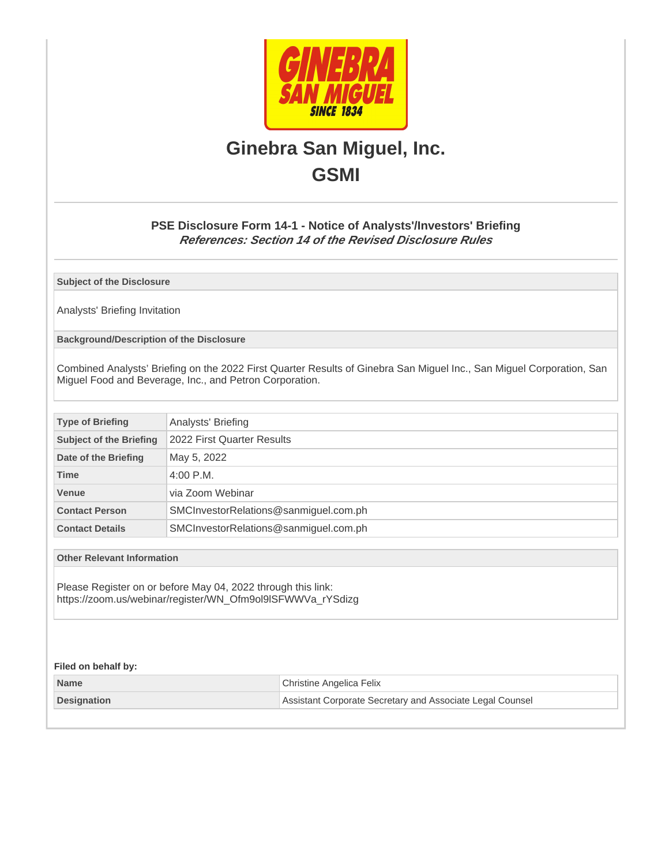

# **Ginebra San Miguel, Inc. GSMI**

#### **PSE Disclosure Form 14-1 - Notice of Analysts'/Investors' Briefing References: Section 14 of the Revised Disclosure Rules**

**Subject of the Disclosure**

Analysts' Briefing Invitation

**Background/Description of the Disclosure**

Combined Analysts' Briefing on the 2022 First Quarter Results of Ginebra San Miguel Inc., San Miguel Corporation, San Miguel Food and Beverage, Inc., and Petron Corporation.

| <b>Type of Briefing</b>        | Analysts' Briefing                    |  |
|--------------------------------|---------------------------------------|--|
| <b>Subject of the Briefing</b> | 2022 First Quarter Results            |  |
| Date of the Briefing           | May 5, 2022                           |  |
| <b>Time</b>                    | $4:00$ P.M.                           |  |
| <b>Venue</b>                   | via Zoom Webinar                      |  |
| <b>Contact Person</b>          | SMCInvestorRelations@sanmiguel.com.ph |  |
| <b>Contact Details</b>         | SMCInvestorRelations@sanmiguel.com.ph |  |

**Other Relevant Information**

Please Register on or before May 04, 2022 through this link: https://zoom.us/webinar/register/WN\_Ofm9ol9lSFWWVa\_rYSdizg

#### **Filed on behalf by:**

| <b>Name</b>        | Christine Angelica Felix                                  |
|--------------------|-----------------------------------------------------------|
| <b>Designation</b> | Assistant Corporate Secretary and Associate Legal Counsel |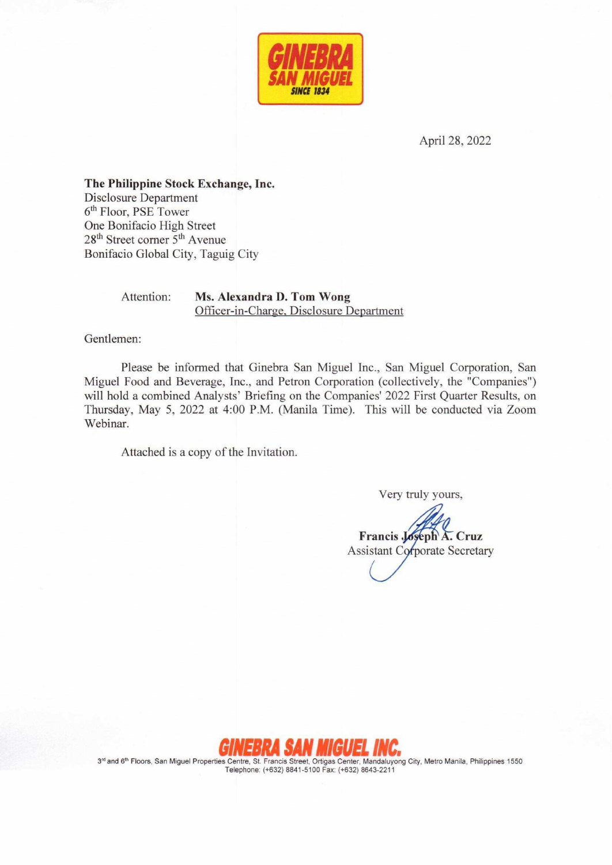

April 28, 2022

The Philippine Stock Exchange, Inc. **Disclosure Department** 6<sup>th</sup> Floor, PSE Tower One Bonifacio High Street 28<sup>th</sup> Street corner 5<sup>th</sup> Avenue Bonifacio Global City, Taguig City

Attention:

Ms. Alexandra D. Tom Wong Officer-in-Charge, Disclosure Department

Gentlemen:

Please be informed that Ginebra San Miguel Inc., San Miguel Corporation, San Miguel Food and Beverage, Inc., and Petron Corporation (collectively, the "Companies") will hold a combined Analysts' Briefing on the Companies' 2022 First Quarter Results, on Thursday, May 5, 2022 at 4:00 P.M. (Manila Time). This will be conducted via Zoom Webinar.

Attached is a copy of the Invitation.

Very truly yours,

Francis Joseph A. Cruz **Assistant Corporate Secretary** 



3rd and 6<sup>th</sup> Floors, San Miguel Properties Centre, St. Francis Street, Ortigas Center, Mandaluyong City, Metro Manila, Philippines 1550 Telephone: (+632) 8841-5100 Fax: (+632) 8643-2211